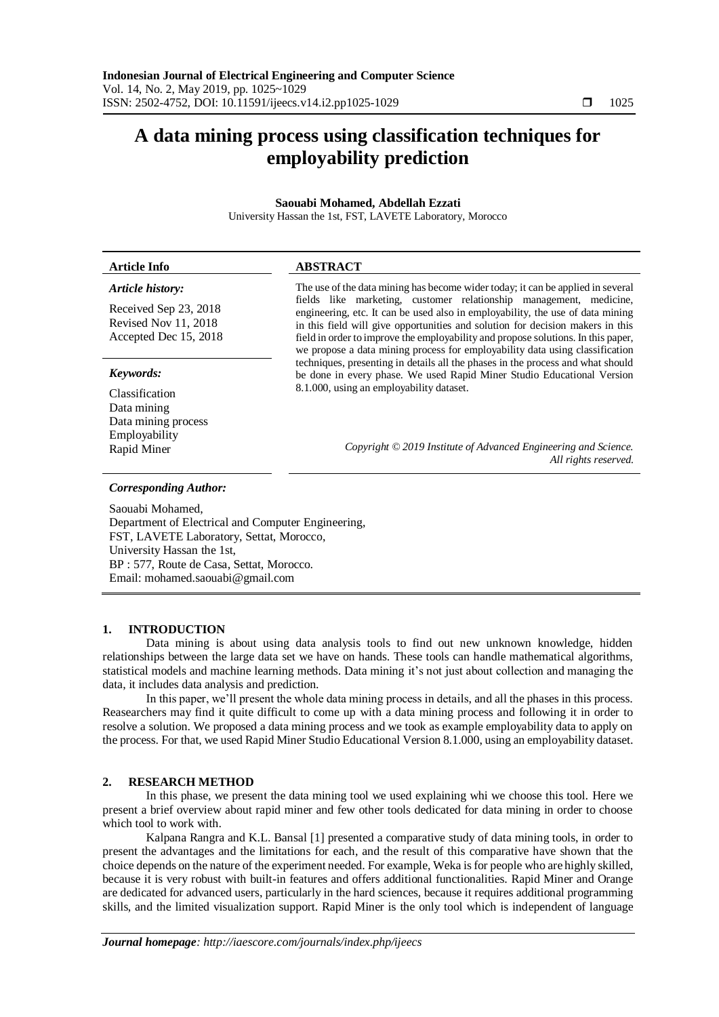## **A data mining process using classification techniques for employability prediction**

## **Saouabi Mohamed, Abdellah Ezzati**

University Hassan the 1st, FST, LAVETE Laboratory, Morocco

| <b>Article Info</b>                                                    | <b>ABSTRACT</b>                                                                                                                                                                                                                                                                                                                                                                                             |  |
|------------------------------------------------------------------------|-------------------------------------------------------------------------------------------------------------------------------------------------------------------------------------------------------------------------------------------------------------------------------------------------------------------------------------------------------------------------------------------------------------|--|
| Article history:                                                       | The use of the data mining has become wider today; it can be applied in several                                                                                                                                                                                                                                                                                                                             |  |
| Received Sep 23, 2018<br>Revised Nov 11, 2018<br>Accepted Dec 15, 2018 | fields like marketing, customer relationship management, medicine,<br>engineering, etc. It can be used also in employability, the use of data mining<br>in this field will give opportunities and solution for decision makers in this<br>field in order to improve the employability and propose solutions. In this paper,<br>we propose a data mining process for employability data using classification |  |
| Keywords:                                                              | techniques, presenting in details all the phases in the process and what should<br>be done in every phase. We used Rapid Miner Studio Educational Version                                                                                                                                                                                                                                                   |  |
| Classification<br>Data mining<br>Data mining process                   | 8.1.000, using an employability dataset.                                                                                                                                                                                                                                                                                                                                                                    |  |
| Employability<br>Rapid Miner                                           | Copyright © 2019 Institute of Advanced Engineering and Science.<br>All rights reserved.                                                                                                                                                                                                                                                                                                                     |  |
|                                                                        |                                                                                                                                                                                                                                                                                                                                                                                                             |  |

#### *Corresponding Author:*

Saouabi Mohamed, Department of Electrical and Computer Engineering, FST, LAVETE Laboratory, Settat, Morocco, University Hassan the 1st, BP : 577, Route de Casa, Settat, Morocco. Email: mohamed.saouabi@gmail.com

## **1. INTRODUCTION**

Data mining is about using data analysis tools to find out new unknown knowledge, hidden relationships between the large data set we have on hands. These tools can handle mathematical algorithms, statistical models and machine learning methods. Data mining it's not just about collection and managing the data, it includes data analysis and prediction.

In this paper, we'll present the whole data mining process in details, and all the phases in this process. Reasearchers may find it quite difficult to come up with a data mining process and following it in order to resolve a solution. We proposed a data mining process and we took as example employability data to apply on the process. For that, we used Rapid Miner Studio Educational Version 8.1.000, using an employability dataset.

## **2. RESEARCH METHOD**

In this phase, we present the data mining tool we used explaining whi we choose this tool. Here we present a brief overview about rapid miner and few other tools dedicated for data mining in order to choose which tool to work with.

Kalpana Rangra and K.L. Bansal [1] presented a comparative study of data mining tools, in order to present the advantages and the limitations for each, and the result of this comparative have shown that the choice depends on the nature of the experiment needed. For example, Weka is for people who are highly skilled, because it is very robust with built-in features and offers additional functionalities. Rapid Miner and Orange are dedicated for advanced users, particularly in the hard sciences, because it requires additional programming skills, and the limited visualization support. Rapid Miner is the only tool which is independent of language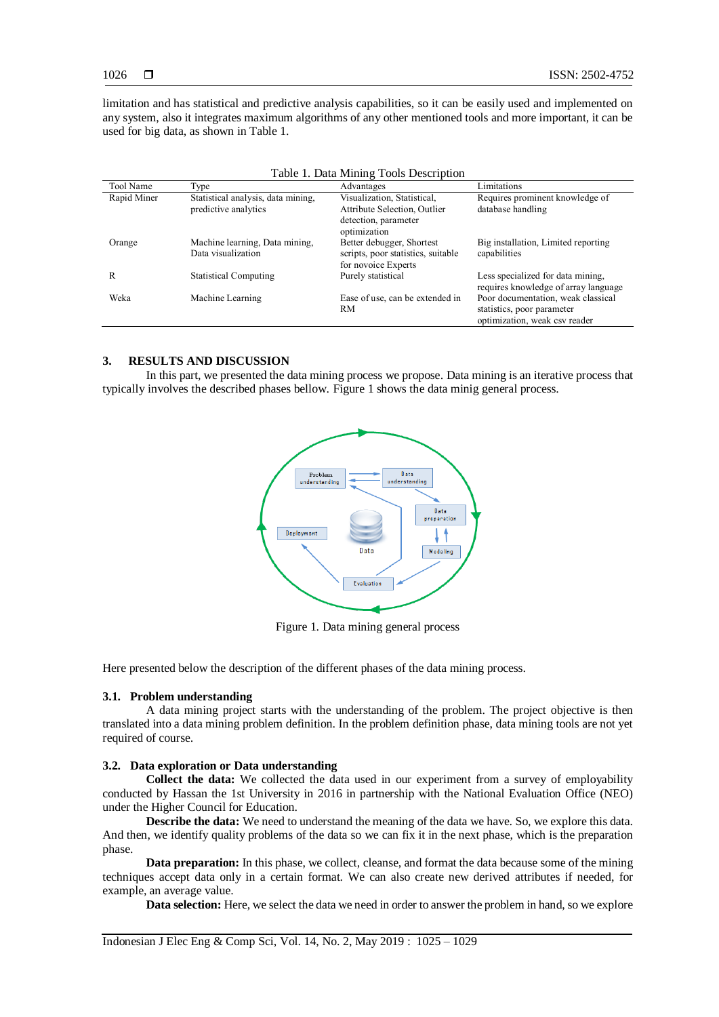limitation and has statistical and predictive analysis capabilities, so it can be easily used and implemented on any system, also it integrates maximum algorithms of any other mentioned tools and more important, it can be used for big data, as shown in Table 1.

| Table 1. Data Mining Tools Description |                                                            |                                                                                                     |                                                                                                   |  |  |
|----------------------------------------|------------------------------------------------------------|-----------------------------------------------------------------------------------------------------|---------------------------------------------------------------------------------------------------|--|--|
| Tool Name                              | Type                                                       | Advantages                                                                                          | Limitations                                                                                       |  |  |
| Rapid Miner                            | Statistical analysis, data mining,<br>predictive analytics | Visualization, Statistical,<br>Attribute Selection, Outlier<br>detection, parameter<br>optimization | Requires prominent knowledge of<br>database handling                                              |  |  |
| Orange                                 | Machine learning, Data mining,<br>Data visualization       | Better debugger, Shortest<br>scripts, poor statistics, suitable<br>for novoice Experts              | Big installation, Limited reporting<br>capabilities                                               |  |  |
| R                                      | <b>Statistical Computing</b>                               | Purely statistical                                                                                  | Less specialized for data mining,<br>requires knowledge of array language                         |  |  |
| Weka                                   | Machine Learning                                           | Ease of use, can be extended in<br>RM                                                               | Poor documentation, weak classical<br>statistics, poor parameter<br>optimization, weak csv reader |  |  |

# **3. RESULTS AND DISCUSSION**

In this part, we presented the data mining process we propose. Data mining is an iterative process that typically involves the described phases bellow. Figure 1 shows the data minig general process.



Figure 1. Data mining general process

Here presented below the description of the different phases of the data mining process.

#### **3.1. Problem understanding**

A data mining project starts with the understanding of the problem. The project objective is then translated into a data mining problem definition. In the problem definition phase, data mining tools are not yet required of course.

#### **3.2. Data exploration or Data understanding**

**Collect the data:** We collected the data used in our experiment from a survey of employability conducted by Hassan the 1st University in 2016 in partnership with the National Evaluation Office (NEO) under the Higher Council for Education.

**Describe the data:** We need to understand the meaning of the data we have. So, we explore this data. And then, we identify quality problems of the data so we can fix it in the next phase, which is the preparation phase.

**Data preparation:** In this phase, we collect, cleanse, and format the data because some of the mining techniques accept data only in a certain format. We can also create new derived attributes if needed, for example, an average value.

**Data selection:** Here, we select the data we need in order to answer the problem in hand, so we explore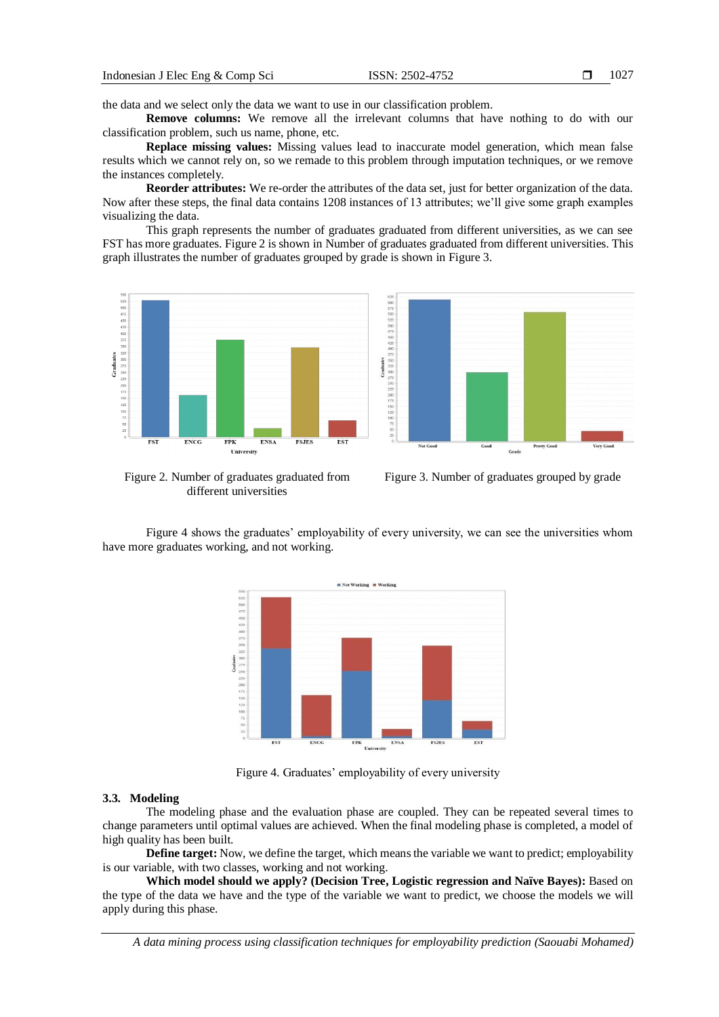the data and we select only the data we want to use in our classification problem.

**Remove columns:** We remove all the irrelevant columns that have nothing to do with our classification problem, such us name, phone, etc.

**Replace missing values:** Missing values lead to inaccurate model generation, which mean false results which we cannot rely on, so we remade to this problem through imputation techniques, or we remove the instances completely.

**Reorder attributes:** We re-order the attributes of the data set, just for better organization of the data. Now after these steps, the final data contains 1208 instances of 13 attributes; we'll give some graph examples visualizing the data.

This graph represents the number of graduates graduated from different universities, as we can see FST has more graduates. Figure 2 is shown in Number of graduates graduated from different universities. This graph illustrates the number of graduates grouped by grade is shown in Figure 3.



Figure 2. Number of graduates graduated from different universities

Figure 3. Number of graduates grouped by grade

Figure 4 shows the graduates' employability of every university, we can see the universities whom have more graduates working, and not working.



Figure 4. Graduates' employability of every university

## **3.3. Modeling**

The modeling phase and the evaluation phase are coupled. They can be repeated several times to change parameters until optimal values are achieved. When the final modeling phase is completed, a model of high quality has been built.

**Define target:** Now, we define the target, which means the variable we want to predict; employability is our variable, with two classes, working and not working.

**Which model should we apply? (Decision Tree, Logistic regression and Naïve Bayes):** Based on the type of the data we have and the type of the variable we want to predict, we choose the models we will apply during this phase.

*A data mining process using classification techniques for employability prediction (Saouabi Mohamed)*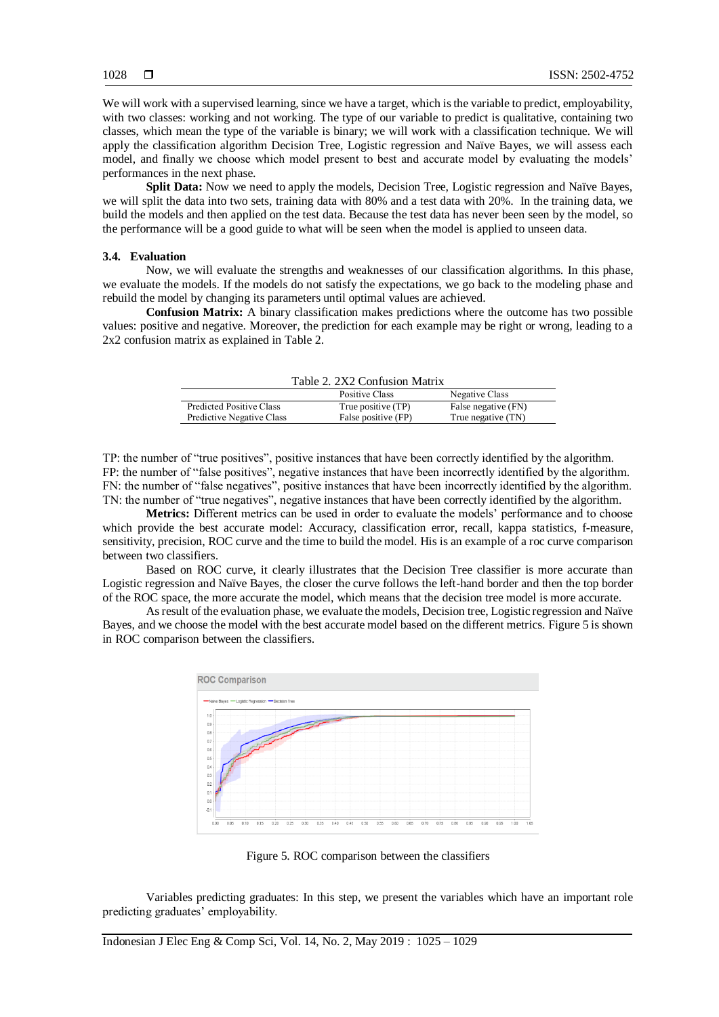We will work with a supervised learning, since we have a target, which is the variable to predict, employability, with two classes: working and not working. The type of our variable to predict is qualitative, containing two classes, which mean the type of the variable is binary; we will work with a classification technique. We will apply the classification algorithm Decision Tree, Logistic regression and Naïve Bayes, we will assess each model, and finally we choose which model present to best and accurate model by evaluating the models' performances in the next phase.

**Split Data:** Now we need to apply the models, Decision Tree, Logistic regression and Naïve Bayes, we will split the data into two sets, training data with 80% and a test data with 20%. In the training data, we build the models and then applied on the test data. Because the test data has never been seen by the model, so the performance will be a good guide to what will be seen when the model is applied to unseen data.

## **3.4. Evaluation**

Now, we will evaluate the strengths and weaknesses of our classification algorithms. In this phase, we evaluate the models. If the models do not satisfy the expectations, we go back to the modeling phase and rebuild the model by changing its parameters until optimal values are achieved.

**Confusion Matrix:** A binary classification makes predictions where the outcome has two possible values: positive and negative. Moreover, the prediction for each example may be right or wrong, leading to a 2x2 confusion matrix as explained in Table 2.

| Table 2. 2X2 Confusion Matrix |                     |                     |  |  |
|-------------------------------|---------------------|---------------------|--|--|
|                               | Positive Class      | Negative Class      |  |  |
| Predicted Positive Class      | True positive (TP)  | False negative (FN) |  |  |
| Predictive Negative Class     | False positive (FP) | True negative (TN)  |  |  |

TP: the number of "true positives", positive instances that have been correctly identified by the algorithm. FP: the number of "false positives", negative instances that have been incorrectly identified by the algorithm. FN: the number of "false negatives", positive instances that have been incorrectly identified by the algorithm. TN: the number of "true negatives", negative instances that have been correctly identified by the algorithm.

**Metrics:** Different metrics can be used in order to evaluate the models' performance and to choose which provide the best accurate model: Accuracy, classification error, recall, kappa statistics, f-measure, sensitivity, precision, ROC curve and the time to build the model. His is an example of a roc curve comparison between two classifiers.

Based on ROC curve, it clearly illustrates that the Decision Tree classifier is more accurate than Logistic regression and Naïve Bayes, the closer the curve follows the left-hand border and then the top border of the ROC space, the more accurate the model, which means that the decision tree model is more accurate.

As result of the evaluation phase, we evaluate the models, Decision tree, Logistic regression and Naïve Bayes, and we choose the model with the best accurate model based on the different metrics. Figure 5 is shown in ROC comparison between the classifiers.



Figure 5. ROC comparison between the classifiers

Variables predicting graduates: In this step, we present the variables which have an important role predicting graduates' employability.